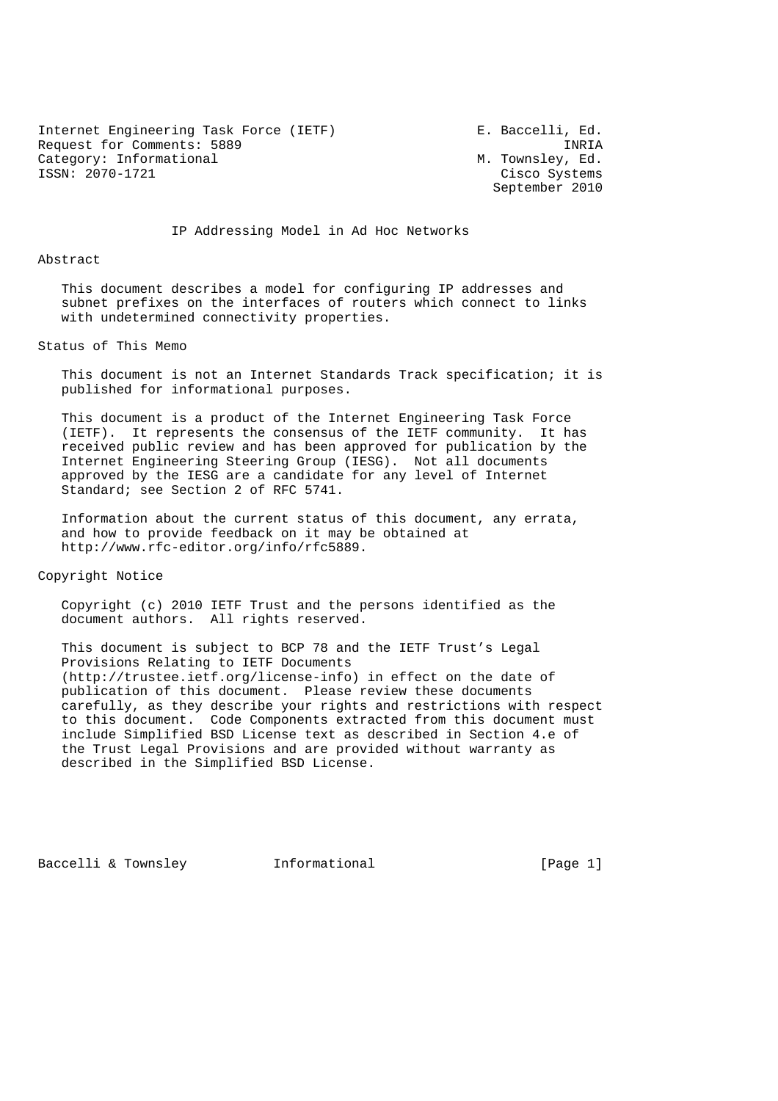Internet Engineering Task Force (IETF) Faccelli, Ed. Request for Comments: 5889<br>Category: Informational M. Townsley, Ed. Category: Informational<br>ISSN: 2070-1721

Cisco Systems September 2010

IP Addressing Model in Ad Hoc Networks

#### Abstract

 This document describes a model for configuring IP addresses and subnet prefixes on the interfaces of routers which connect to links with undetermined connectivity properties.

### Status of This Memo

 This document is not an Internet Standards Track specification; it is published for informational purposes.

 This document is a product of the Internet Engineering Task Force (IETF). It represents the consensus of the IETF community. It has received public review and has been approved for publication by the Internet Engineering Steering Group (IESG). Not all documents approved by the IESG are a candidate for any level of Internet Standard; see Section 2 of RFC 5741.

 Information about the current status of this document, any errata, and how to provide feedback on it may be obtained at http://www.rfc-editor.org/info/rfc5889.

Copyright Notice

 Copyright (c) 2010 IETF Trust and the persons identified as the document authors. All rights reserved.

 This document is subject to BCP 78 and the IETF Trust's Legal Provisions Relating to IETF Documents (http://trustee.ietf.org/license-info) in effect on the date of publication of this document. Please review these documents carefully, as they describe your rights and restrictions with respect to this document. Code Components extracted from this document must include Simplified BSD License text as described in Section 4.e of the Trust Legal Provisions and are provided without warranty as described in the Simplified BSD License.

Baccelli & Townsley [Page 1] [Page 1]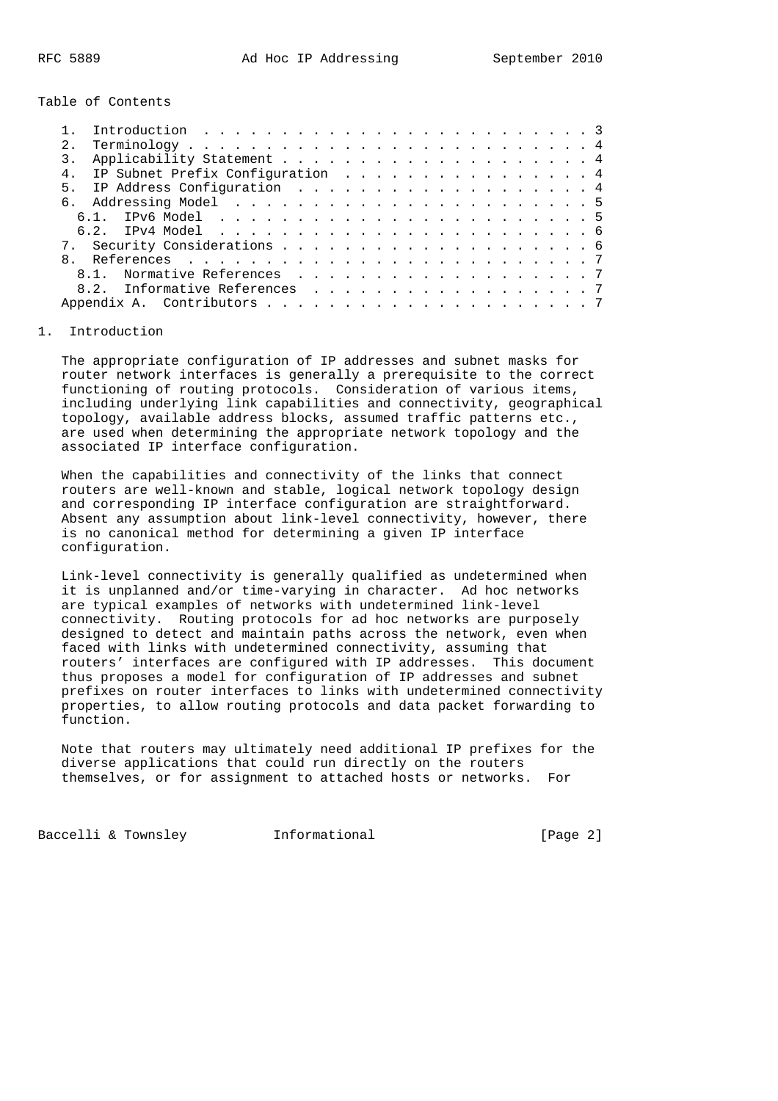Table of Contents

| 2.1 |                                     |  |
|-----|-------------------------------------|--|
|     |                                     |  |
|     | 4. IP Subnet Prefix Configuration 4 |  |
|     | 5. IP Address Configuration 4       |  |
|     |                                     |  |
|     |                                     |  |
|     |                                     |  |
|     |                                     |  |
|     |                                     |  |
|     | 8.1. Normative References 7         |  |
|     | 8.2. Informative References 7       |  |
|     |                                     |  |

#### 1. Introduction

 The appropriate configuration of IP addresses and subnet masks for router network interfaces is generally a prerequisite to the correct functioning of routing protocols. Consideration of various items, including underlying link capabilities and connectivity, geographical topology, available address blocks, assumed traffic patterns etc., are used when determining the appropriate network topology and the associated IP interface configuration.

 When the capabilities and connectivity of the links that connect routers are well-known and stable, logical network topology design and corresponding IP interface configuration are straightforward. Absent any assumption about link-level connectivity, however, there is no canonical method for determining a given IP interface configuration.

 Link-level connectivity is generally qualified as undetermined when it is unplanned and/or time-varying in character. Ad hoc networks are typical examples of networks with undetermined link-level connectivity. Routing protocols for ad hoc networks are purposely designed to detect and maintain paths across the network, even when faced with links with undetermined connectivity, assuming that routers' interfaces are configured with IP addresses. This document thus proposes a model for configuration of IP addresses and subnet prefixes on router interfaces to links with undetermined connectivity properties, to allow routing protocols and data packet forwarding to function.

 Note that routers may ultimately need additional IP prefixes for the diverse applications that could run directly on the routers themselves, or for assignment to attached hosts or networks. For

Baccelli & Townsley **Informational** [Page 2]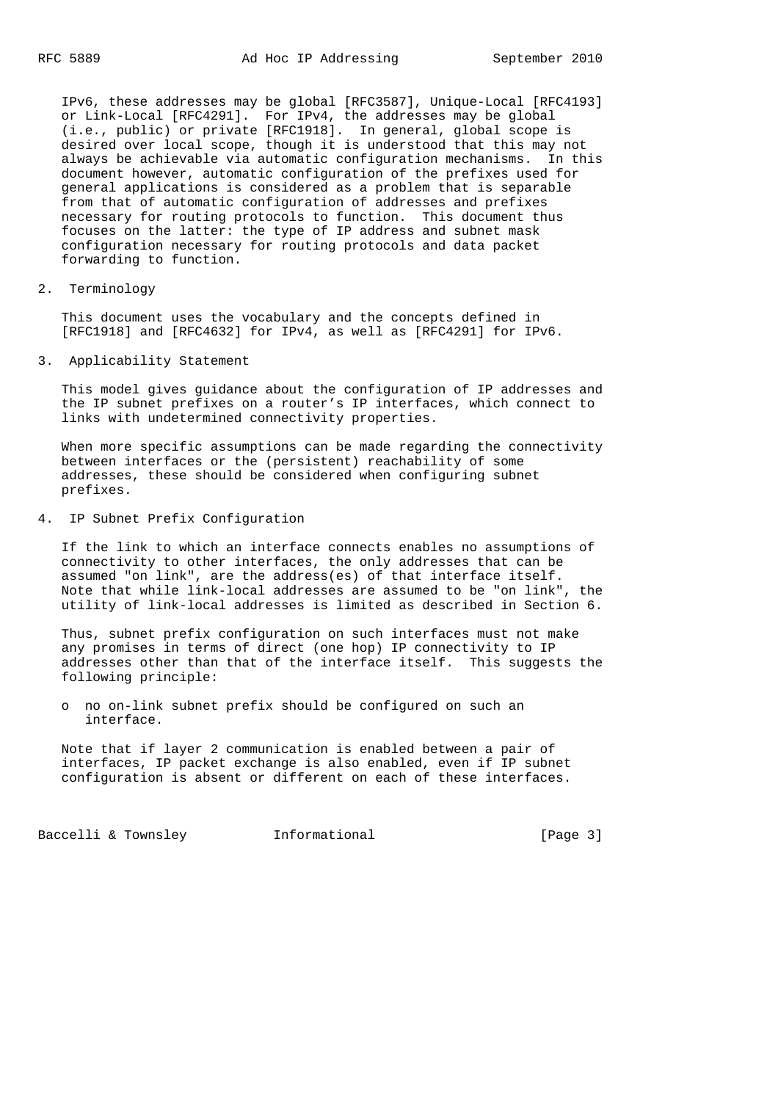IPv6, these addresses may be global [RFC3587], Unique-Local [RFC4193] or Link-Local [RFC4291]. For IPv4, the addresses may be global (i.e., public) or private [RFC1918]. In general, global scope is desired over local scope, though it is understood that this may not always be achievable via automatic configuration mechanisms. In this document however, automatic configuration of the prefixes used for general applications is considered as a problem that is separable from that of automatic configuration of addresses and prefixes necessary for routing protocols to function. This document thus focuses on the latter: the type of IP address and subnet mask configuration necessary for routing protocols and data packet forwarding to function.

2. Terminology

 This document uses the vocabulary and the concepts defined in [RFC1918] and [RFC4632] for IPv4, as well as [RFC4291] for IPv6.

3. Applicability Statement

 This model gives guidance about the configuration of IP addresses and the IP subnet prefixes on a router's IP interfaces, which connect to links with undetermined connectivity properties.

 When more specific assumptions can be made regarding the connectivity between interfaces or the (persistent) reachability of some addresses, these should be considered when configuring subnet prefixes.

4. IP Subnet Prefix Configuration

 If the link to which an interface connects enables no assumptions of connectivity to other interfaces, the only addresses that can be assumed "on link", are the address(es) of that interface itself. Note that while link-local addresses are assumed to be "on link", the utility of link-local addresses is limited as described in Section 6.

 Thus, subnet prefix configuration on such interfaces must not make any promises in terms of direct (one hop) IP connectivity to IP addresses other than that of the interface itself. This suggests the following principle:

 o no on-link subnet prefix should be configured on such an interface.

 Note that if layer 2 communication is enabled between a pair of interfaces, IP packet exchange is also enabled, even if IP subnet configuration is absent or different on each of these interfaces.

Baccelli & Townsley **Informational** [Page 3]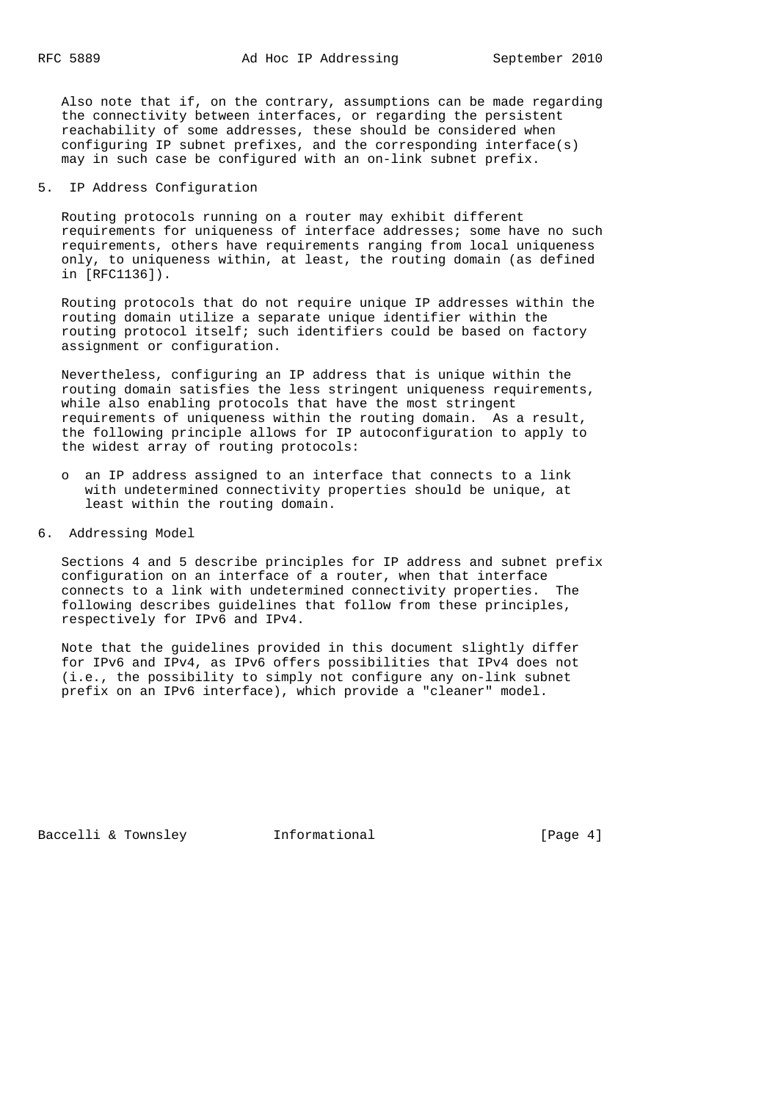Also note that if, on the contrary, assumptions can be made regarding the connectivity between interfaces, or regarding the persistent reachability of some addresses, these should be considered when configuring IP subnet prefixes, and the corresponding interface(s) may in such case be configured with an on-link subnet prefix.

### 5. IP Address Configuration

 Routing protocols running on a router may exhibit different requirements for uniqueness of interface addresses; some have no such requirements, others have requirements ranging from local uniqueness only, to uniqueness within, at least, the routing domain (as defined in [RFC1136]).

 Routing protocols that do not require unique IP addresses within the routing domain utilize a separate unique identifier within the routing protocol itself; such identifiers could be based on factory assignment or configuration.

 Nevertheless, configuring an IP address that is unique within the routing domain satisfies the less stringent uniqueness requirements, while also enabling protocols that have the most stringent requirements of uniqueness within the routing domain. As a result, the following principle allows for IP autoconfiguration to apply to the widest array of routing protocols:

- o an IP address assigned to an interface that connects to a link with undetermined connectivity properties should be unique, at least within the routing domain.
- 6. Addressing Model

 Sections 4 and 5 describe principles for IP address and subnet prefix configuration on an interface of a router, when that interface connects to a link with undetermined connectivity properties. The following describes guidelines that follow from these principles, respectively for IPv6 and IPv4.

 Note that the guidelines provided in this document slightly differ for IPv6 and IPv4, as IPv6 offers possibilities that IPv4 does not (i.e., the possibility to simply not configure any on-link subnet prefix on an IPv6 interface), which provide a "cleaner" model.

Baccelli & Townsley [Page 4]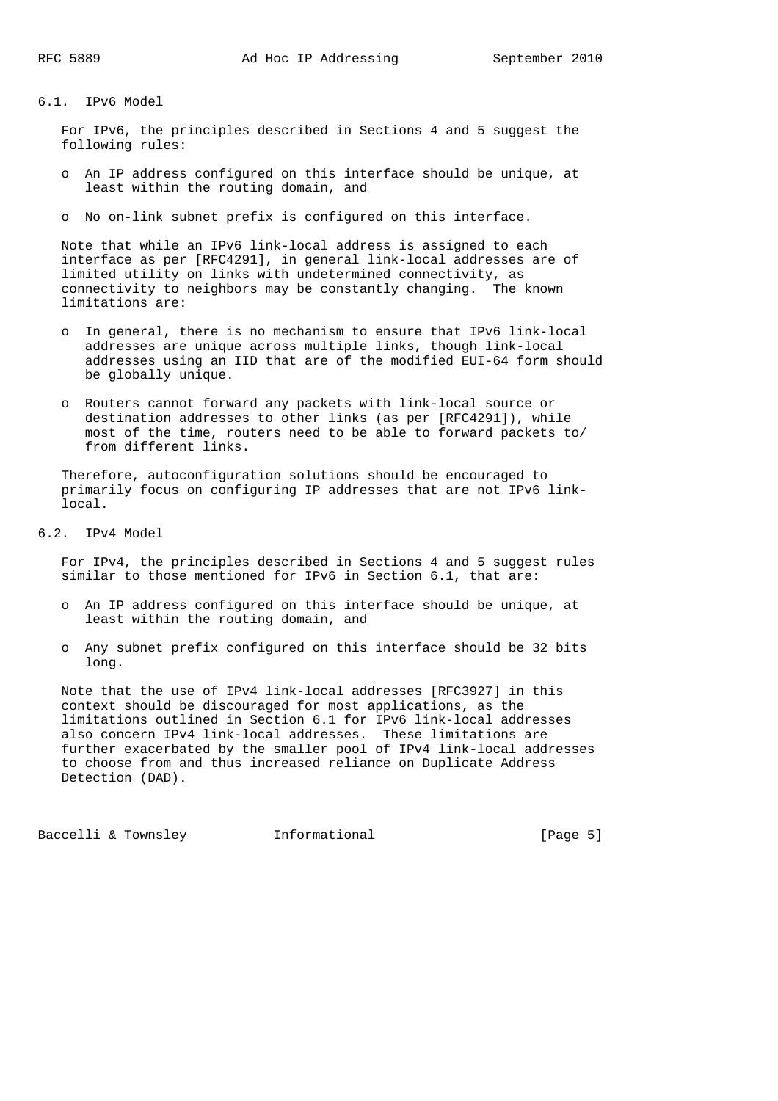# 6.1. IPv6 Model

 For IPv6, the principles described in Sections 4 and 5 suggest the following rules:

- o An IP address configured on this interface should be unique, at least within the routing domain, and
- o No on-link subnet prefix is configured on this interface.

 Note that while an IPv6 link-local address is assigned to each interface as per [RFC4291], in general link-local addresses are of limited utility on links with undetermined connectivity, as connectivity to neighbors may be constantly changing. The known limitations are:

- o In general, there is no mechanism to ensure that IPv6 link-local addresses are unique across multiple links, though link-local addresses using an IID that are of the modified EUI-64 form should be globally unique.
- o Routers cannot forward any packets with link-local source or destination addresses to other links (as per [RFC4291]), while most of the time, routers need to be able to forward packets to/ from different links.

 Therefore, autoconfiguration solutions should be encouraged to primarily focus on configuring IP addresses that are not IPv6 link local.

6.2. IPv4 Model

 For IPv4, the principles described in Sections 4 and 5 suggest rules similar to those mentioned for IPv6 in Section 6.1, that are:

- o An IP address configured on this interface should be unique, at least within the routing domain, and
- o Any subnet prefix configured on this interface should be 32 bits long.

 Note that the use of IPv4 link-local addresses [RFC3927] in this context should be discouraged for most applications, as the limitations outlined in Section 6.1 for IPv6 link-local addresses also concern IPv4 link-local addresses. These limitations are further exacerbated by the smaller pool of IPv4 link-local addresses to choose from and thus increased reliance on Duplicate Address Detection (DAD).

Baccelli & Townsley **Informational** [Page 5]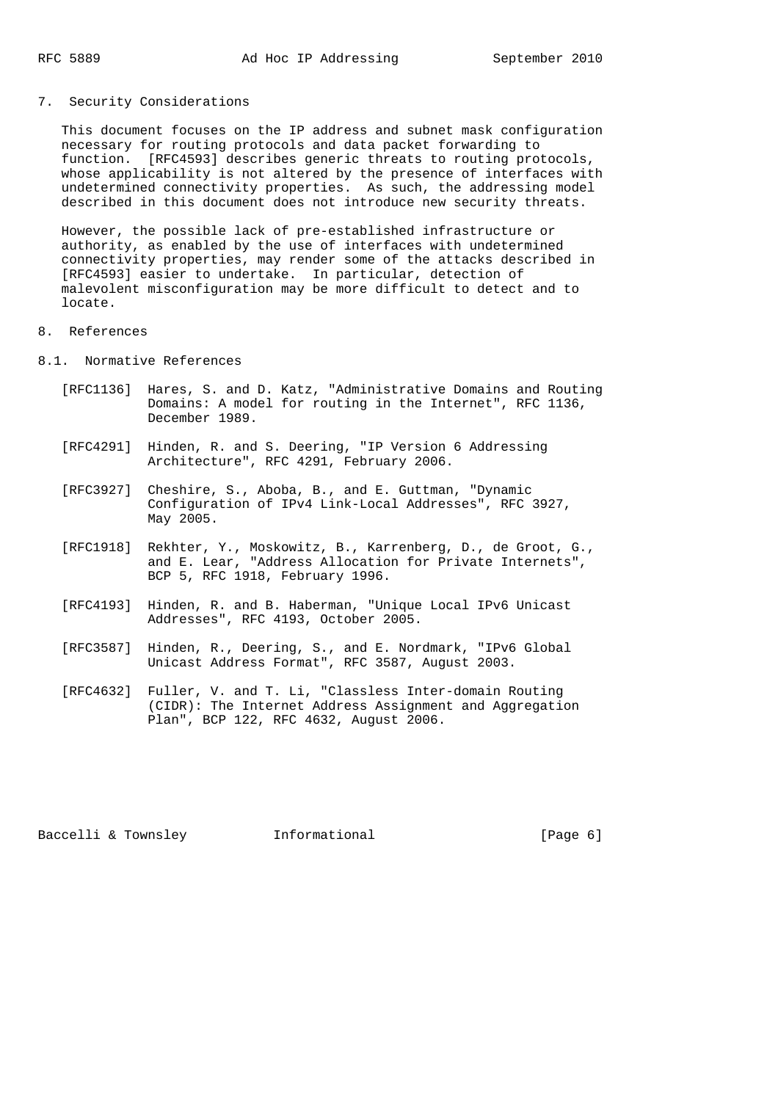## 7. Security Considerations

 This document focuses on the IP address and subnet mask configuration necessary for routing protocols and data packet forwarding to function. [RFC4593] describes generic threats to routing protocols, whose applicability is not altered by the presence of interfaces with undetermined connectivity properties. As such, the addressing model described in this document does not introduce new security threats.

 However, the possible lack of pre-established infrastructure or authority, as enabled by the use of interfaces with undetermined connectivity properties, may render some of the attacks described in [RFC4593] easier to undertake. In particular, detection of malevolent misconfiguration may be more difficult to detect and to locate.

### 8. References

- 8.1. Normative References
	- [RFC1136] Hares, S. and D. Katz, "Administrative Domains and Routing Domains: A model for routing in the Internet", RFC 1136, December 1989.
	- [RFC4291] Hinden, R. and S. Deering, "IP Version 6 Addressing Architecture", RFC 4291, February 2006.
	- [RFC3927] Cheshire, S., Aboba, B., and E. Guttman, "Dynamic Configuration of IPv4 Link-Local Addresses", RFC 3927, May 2005.
	- [RFC1918] Rekhter, Y., Moskowitz, B., Karrenberg, D., de Groot, G., and E. Lear, "Address Allocation for Private Internets", BCP 5, RFC 1918, February 1996.
	- [RFC4193] Hinden, R. and B. Haberman, "Unique Local IPv6 Unicast Addresses", RFC 4193, October 2005.
	- [RFC3587] Hinden, R., Deering, S., and E. Nordmark, "IPv6 Global Unicast Address Format", RFC 3587, August 2003.
	- [RFC4632] Fuller, V. and T. Li, "Classless Inter-domain Routing (CIDR): The Internet Address Assignment and Aggregation Plan", BCP 122, RFC 4632, August 2006.

Baccelli & Townsley **Informational** [Page 6]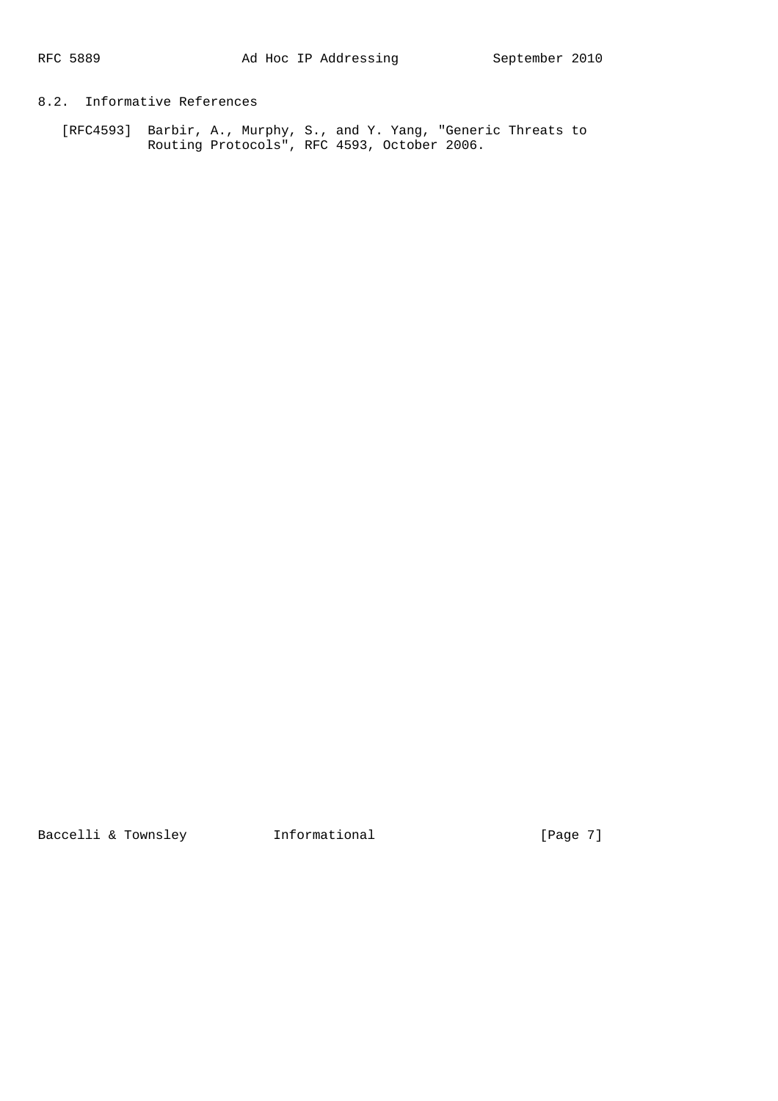# 8.2. Informative References

 [RFC4593] Barbir, A., Murphy, S., and Y. Yang, "Generic Threats to Routing Protocols", RFC 4593, October 2006.

Baccelli & Townsley **Informational** [Page 7]